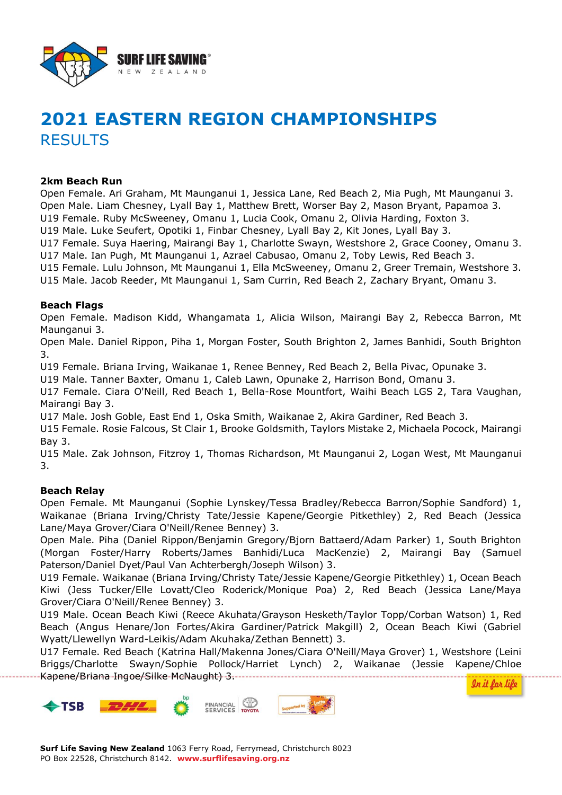

# **2021 EASTERN REGION CHAMPIONSHIPS RESULTS**

## **2km Beach Run**

Open Female. Ari Graham, Mt Maunganui 1, Jessica Lane, Red Beach 2, Mia Pugh, Mt Maunganui 3. Open Male. Liam Chesney, Lyall Bay 1, Matthew Brett, Worser Bay 2, Mason Bryant, Papamoa 3. U19 Female. Ruby McSweeney, Omanu 1, Lucia Cook, Omanu 2, Olivia Harding, Foxton 3. U19 Male. Luke Seufert, Opotiki 1, Finbar Chesney, Lyall Bay 2, Kit Jones, Lyall Bay 3.

U17 Female. Suya Haering, Mairangi Bay 1, Charlotte Swayn, Westshore 2, Grace Cooney, Omanu 3. U17 Male. Ian Pugh, Mt Maunganui 1, Azrael Cabusao, Omanu 2, Toby Lewis, Red Beach 3.

U15 Female. Lulu Johnson, Mt Maunganui 1, Ella McSweeney, Omanu 2, Greer Tremain, Westshore 3.

U15 Male. Jacob Reeder, Mt Maunganui 1, Sam Currin, Red Beach 2, Zachary Bryant, Omanu 3.

#### **Beach Flags**

Open Female. Madison Kidd, Whangamata 1, Alicia Wilson, Mairangi Bay 2, Rebecca Barron, Mt Maunganui 3.

Open Male. Daniel Rippon, Piha 1, Morgan Foster, South Brighton 2, James Banhidi, South Brighton 3.

U19 Female. Briana Irving, Waikanae 1, Renee Benney, Red Beach 2, Bella Pivac, Opunake 3.

U19 Male. Tanner Baxter, Omanu 1, Caleb Lawn, Opunake 2, Harrison Bond, Omanu 3.

U17 Female. Ciara O'Neill, Red Beach 1, Bella-Rose Mountfort, Waihi Beach LGS 2, Tara Vaughan, Mairangi Bay 3.

U17 Male. Josh Goble, East End 1, Oska Smith, Waikanae 2, Akira Gardiner, Red Beach 3.

U15 Female. Rosie Falcous, St Clair 1, Brooke Goldsmith, Taylors Mistake 2, Michaela Pocock, Mairangi Bay 3.

U15 Male. Zak Johnson, Fitzroy 1, Thomas Richardson, Mt Maunganui 2, Logan West, Mt Maunganui 3.

## **Beach Relay**

Open Female. Mt Maunganui (Sophie Lynskey/Tessa Bradley/Rebecca Barron/Sophie Sandford) 1, Waikanae (Briana Irving/Christy Tate/Jessie Kapene/Georgie Pitkethley) 2, Red Beach (Jessica Lane/Maya Grover/Ciara O'Neill/Renee Benney) 3.

Open Male. Piha (Daniel Rippon/Benjamin Gregory/Bjorn Battaerd/Adam Parker) 1, South Brighton (Morgan Foster/Harry Roberts/James Banhidi/Luca MacKenzie) 2, Mairangi Bay (Samuel Paterson/Daniel Dyet/Paul Van Achterbergh/Joseph Wilson) 3.

U19 Female. Waikanae (Briana Irving/Christy Tate/Jessie Kapene/Georgie Pitkethley) 1, Ocean Beach Kiwi (Jess Tucker/Elle Lovatt/Cleo Roderick/Monique Poa) 2, Red Beach (Jessica Lane/Maya Grover/Ciara O'Neill/Renee Benney) 3.

U19 Male. Ocean Beach Kiwi (Reece Akuhata/Grayson Hesketh/Taylor Topp/Corban Watson) 1, Red Beach (Angus Henare/Jon Fortes/Akira Gardiner/Patrick Makgill) 2, Ocean Beach Kiwi (Gabriel Wyatt/Llewellyn Ward-Leikis/Adam Akuhaka/Zethan Bennett) 3.

U17 Female. Red Beach (Katrina Hall/Makenna Jones/Ciara O'Neill/Maya Grover) 1, Westshore (Leini Briggs/Charlotte Swayn/Sophie Pollock/Harriet Lynch) 2, Waikanae (Jessie Kapene/Chloe Kapene/Briana-Ingoe/Silke-McNaught)-3.------



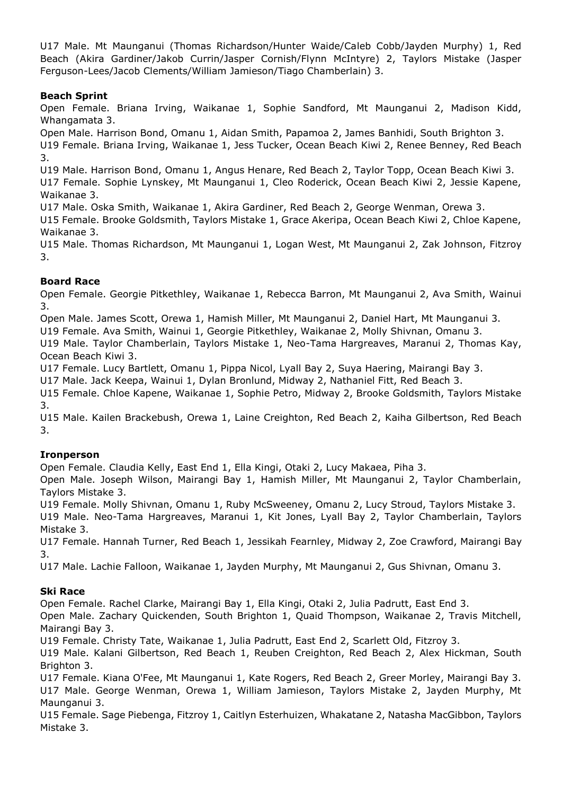U17 Male. Mt Maunganui (Thomas Richardson/Hunter Waide/Caleb Cobb/Jayden Murphy) 1, Red Beach (Akira Gardiner/Jakob Currin/Jasper Cornish/Flynn McIntyre) 2, Taylors Mistake (Jasper Ferguson-Lees/Jacob Clements/William Jamieson/Tiago Chamberlain) 3.

# **Beach Sprint**

Open Female. Briana Irving, Waikanae 1, Sophie Sandford, Mt Maunganui 2, Madison Kidd, Whangamata 3.

Open Male. Harrison Bond, Omanu 1, Aidan Smith, Papamoa 2, James Banhidi, South Brighton 3.

U19 Female. Briana Irving, Waikanae 1, Jess Tucker, Ocean Beach Kiwi 2, Renee Benney, Red Beach 3.

U19 Male. Harrison Bond, Omanu 1, Angus Henare, Red Beach 2, Taylor Topp, Ocean Beach Kiwi 3.

U17 Female. Sophie Lynskey, Mt Maunganui 1, Cleo Roderick, Ocean Beach Kiwi 2, Jessie Kapene, Waikanae 3.

U17 Male. Oska Smith, Waikanae 1, Akira Gardiner, Red Beach 2, George Wenman, Orewa 3.

U15 Female. Brooke Goldsmith, Taylors Mistake 1, Grace Akeripa, Ocean Beach Kiwi 2, Chloe Kapene, Waikanae 3.

U15 Male. Thomas Richardson, Mt Maunganui 1, Logan West, Mt Maunganui 2, Zak Johnson, Fitzroy 3.

## **Board Race**

Open Female. Georgie Pitkethley, Waikanae 1, Rebecca Barron, Mt Maunganui 2, Ava Smith, Wainui 3.

Open Male. James Scott, Orewa 1, Hamish Miller, Mt Maunganui 2, Daniel Hart, Mt Maunganui 3.

U19 Female. Ava Smith, Wainui 1, Georgie Pitkethley, Waikanae 2, Molly Shivnan, Omanu 3.

U19 Male. Taylor Chamberlain, Taylors Mistake 1, Neo-Tama Hargreaves, Maranui 2, Thomas Kay, Ocean Beach Kiwi 3.

U17 Female. Lucy Bartlett, Omanu 1, Pippa Nicol, Lyall Bay 2, Suya Haering, Mairangi Bay 3.

U17 Male. Jack Keepa, Wainui 1, Dylan Bronlund, Midway 2, Nathaniel Fitt, Red Beach 3.

U15 Female. Chloe Kapene, Waikanae 1, Sophie Petro, Midway 2, Brooke Goldsmith, Taylors Mistake 3.

U15 Male. Kailen Brackebush, Orewa 1, Laine Creighton, Red Beach 2, Kaiha Gilbertson, Red Beach 3.

# **Ironperson**

Open Female. Claudia Kelly, East End 1, Ella Kingi, Otaki 2, Lucy Makaea, Piha 3.

Open Male. Joseph Wilson, Mairangi Bay 1, Hamish Miller, Mt Maunganui 2, Taylor Chamberlain, Taylors Mistake 3.

U19 Female. Molly Shivnan, Omanu 1, Ruby McSweeney, Omanu 2, Lucy Stroud, Taylors Mistake 3.

U19 Male. Neo-Tama Hargreaves, Maranui 1, Kit Jones, Lyall Bay 2, Taylor Chamberlain, Taylors Mistake 3.

U17 Female. Hannah Turner, Red Beach 1, Jessikah Fearnley, Midway 2, Zoe Crawford, Mairangi Bay 3.

U17 Male. Lachie Falloon, Waikanae 1, Jayden Murphy, Mt Maunganui 2, Gus Shivnan, Omanu 3.

# **Ski Race**

Open Female. Rachel Clarke, Mairangi Bay 1, Ella Kingi, Otaki 2, Julia Padrutt, East End 3.

Open Male. Zachary Quickenden, South Brighton 1, Quaid Thompson, Waikanae 2, Travis Mitchell, Mairangi Bay 3.

U19 Female. Christy Tate, Waikanae 1, Julia Padrutt, East End 2, Scarlett Old, Fitzroy 3.

U19 Male. Kalani Gilbertson, Red Beach 1, Reuben Creighton, Red Beach 2, Alex Hickman, South Brighton 3.

U17 Female. Kiana O'Fee, Mt Maunganui 1, Kate Rogers, Red Beach 2, Greer Morley, Mairangi Bay 3. U17 Male. George Wenman, Orewa 1, William Jamieson, Taylors Mistake 2, Jayden Murphy, Mt Maunganui 3.

U15 Female. Sage Piebenga, Fitzroy 1, Caitlyn Esterhuizen, Whakatane 2, Natasha MacGibbon, Taylors Mistake 3.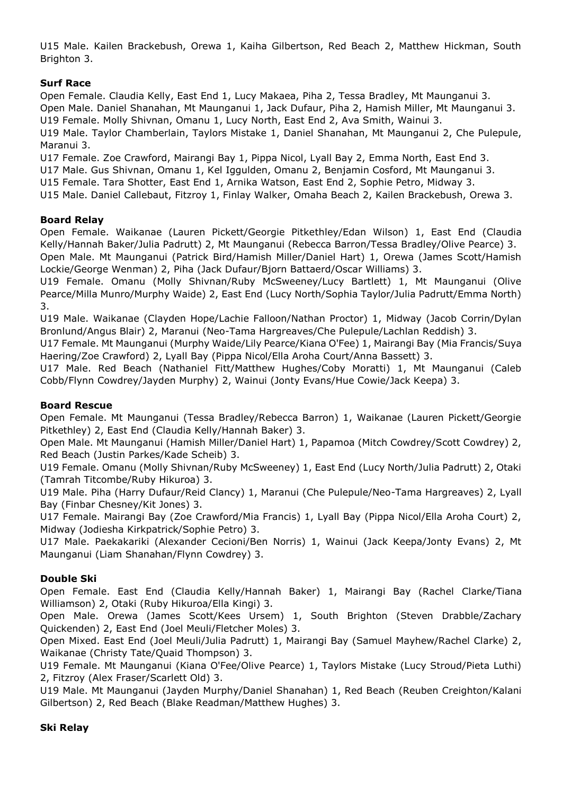U15 Male. Kailen Brackebush, Orewa 1, Kaiha Gilbertson, Red Beach 2, Matthew Hickman, South Brighton 3.

# **Surf Race**

Open Female. Claudia Kelly, East End 1, Lucy Makaea, Piha 2, Tessa Bradley, Mt Maunganui 3. Open Male. Daniel Shanahan, Mt Maunganui 1, Jack Dufaur, Piha 2, Hamish Miller, Mt Maunganui 3. U19 Female. Molly Shivnan, Omanu 1, Lucy North, East End 2, Ava Smith, Wainui 3.

U19 Male. Taylor Chamberlain, Taylors Mistake 1, Daniel Shanahan, Mt Maunganui 2, Che Pulepule, Maranui 3.

U17 Female. Zoe Crawford, Mairangi Bay 1, Pippa Nicol, Lyall Bay 2, Emma North, East End 3.

U17 Male. Gus Shivnan, Omanu 1, Kel Iggulden, Omanu 2, Benjamin Cosford, Mt Maunganui 3.

U15 Female. Tara Shotter, East End 1, Arnika Watson, East End 2, Sophie Petro, Midway 3.

U15 Male. Daniel Callebaut, Fitzroy 1, Finlay Walker, Omaha Beach 2, Kailen Brackebush, Orewa 3.

#### **Board Relay**

Open Female. Waikanae (Lauren Pickett/Georgie Pitkethley/Edan Wilson) 1, East End (Claudia Kelly/Hannah Baker/Julia Padrutt) 2, Mt Maunganui (Rebecca Barron/Tessa Bradley/Olive Pearce) 3. Open Male. Mt Maunganui (Patrick Bird/Hamish Miller/Daniel Hart) 1, Orewa (James Scott/Hamish Lockie/George Wenman) 2, Piha (Jack Dufaur/Bjorn Battaerd/Oscar Williams) 3.

U19 Female. Omanu (Molly Shivnan/Ruby McSweeney/Lucy Bartlett) 1, Mt Maunganui (Olive Pearce/Milla Munro/Murphy Waide) 2, East End (Lucy North/Sophia Taylor/Julia Padrutt/Emma North) 3.

U19 Male. Waikanae (Clayden Hope/Lachie Falloon/Nathan Proctor) 1, Midway (Jacob Corrin/Dylan Bronlund/Angus Blair) 2, Maranui (Neo-Tama Hargreaves/Che Pulepule/Lachlan Reddish) 3.

U17 Female. Mt Maunganui (Murphy Waide/Lily Pearce/Kiana O'Fee) 1, Mairangi Bay (Mia Francis/Suya Haering/Zoe Crawford) 2, Lyall Bay (Pippa Nicol/Ella Aroha Court/Anna Bassett) 3.

U17 Male. Red Beach (Nathaniel Fitt/Matthew Hughes/Coby Moratti) 1, Mt Maunganui (Caleb Cobb/Flynn Cowdrey/Jayden Murphy) 2, Wainui (Jonty Evans/Hue Cowie/Jack Keepa) 3.

## **Board Rescue**

Open Female. Mt Maunganui (Tessa Bradley/Rebecca Barron) 1, Waikanae (Lauren Pickett/Georgie Pitkethley) 2, East End (Claudia Kelly/Hannah Baker) 3.

Open Male. Mt Maunganui (Hamish Miller/Daniel Hart) 1, Papamoa (Mitch Cowdrey/Scott Cowdrey) 2, Red Beach (Justin Parkes/Kade Scheib) 3.

U19 Female. Omanu (Molly Shivnan/Ruby McSweeney) 1, East End (Lucy North/Julia Padrutt) 2, Otaki (Tamrah Titcombe/Ruby Hikuroa) 3.

U19 Male. Piha (Harry Dufaur/Reid Clancy) 1, Maranui (Che Pulepule/Neo-Tama Hargreaves) 2, Lyall Bay (Finbar Chesney/Kit Jones) 3.

U17 Female. Mairangi Bay (Zoe Crawford/Mia Francis) 1, Lyall Bay (Pippa Nicol/Ella Aroha Court) 2, Midway (Jodiesha Kirkpatrick/Sophie Petro) 3.

U17 Male. Paekakariki (Alexander Cecioni/Ben Norris) 1, Wainui (Jack Keepa/Jonty Evans) 2, Mt Maunganui (Liam Shanahan/Flynn Cowdrey) 3.

## **Double Ski**

Open Female. East End (Claudia Kelly/Hannah Baker) 1, Mairangi Bay (Rachel Clarke/Tiana Williamson) 2, Otaki (Ruby Hikuroa/Ella Kingi) 3.

Open Male. Orewa (James Scott/Kees Ursem) 1, South Brighton (Steven Drabble/Zachary Quickenden) 2, East End (Joel Meuli/Fletcher Moles) 3.

Open Mixed. East End (Joel Meuli/Julia Padrutt) 1, Mairangi Bay (Samuel Mayhew/Rachel Clarke) 2, Waikanae (Christy Tate/Quaid Thompson) 3.

U19 Female. Mt Maunganui (Kiana O'Fee/Olive Pearce) 1, Taylors Mistake (Lucy Stroud/Pieta Luthi) 2, Fitzroy (Alex Fraser/Scarlett Old) 3.

U19 Male. Mt Maunganui (Jayden Murphy/Daniel Shanahan) 1, Red Beach (Reuben Creighton/Kalani Gilbertson) 2, Red Beach (Blake Readman/Matthew Hughes) 3.

#### **Ski Relay**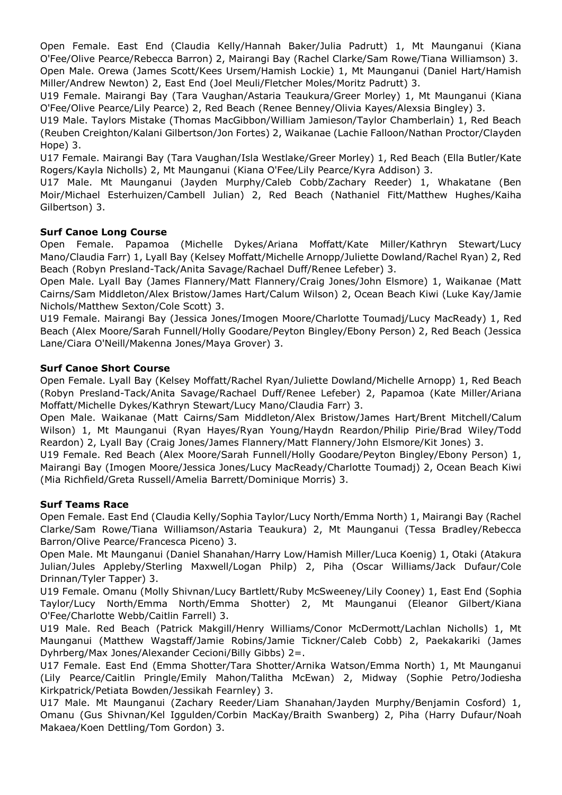Open Female. East End (Claudia Kelly/Hannah Baker/Julia Padrutt) 1, Mt Maunganui (Kiana O'Fee/Olive Pearce/Rebecca Barron) 2, Mairangi Bay (Rachel Clarke/Sam Rowe/Tiana Williamson) 3. Open Male. Orewa (James Scott/Kees Ursem/Hamish Lockie) 1, Mt Maunganui (Daniel Hart/Hamish Miller/Andrew Newton) 2, East End (Joel Meuli/Fletcher Moles/Moritz Padrutt) 3.

U19 Female. Mairangi Bay (Tara Vaughan/Astaria Teaukura/Greer Morley) 1, Mt Maunganui (Kiana O'Fee/Olive Pearce/Lily Pearce) 2, Red Beach (Renee Benney/Olivia Kayes/Alexsia Bingley) 3.

U19 Male. Taylors Mistake (Thomas MacGibbon/William Jamieson/Taylor Chamberlain) 1, Red Beach (Reuben Creighton/Kalani Gilbertson/Jon Fortes) 2, Waikanae (Lachie Falloon/Nathan Proctor/Clayden Hope) 3.

U17 Female. Mairangi Bay (Tara Vaughan/Isla Westlake/Greer Morley) 1, Red Beach (Ella Butler/Kate Rogers/Kayla Nicholls) 2, Mt Maunganui (Kiana O'Fee/Lily Pearce/Kyra Addison) 3.

U17 Male. Mt Maunganui (Jayden Murphy/Caleb Cobb/Zachary Reeder) 1, Whakatane (Ben Moir/Michael Esterhuizen/Cambell Julian) 2, Red Beach (Nathaniel Fitt/Matthew Hughes/Kaiha Gilbertson) 3.

## **Surf Canoe Long Course**

Open Female. Papamoa (Michelle Dykes/Ariana Moffatt/Kate Miller/Kathryn Stewart/Lucy Mano/Claudia Farr) 1, Lyall Bay (Kelsey Moffatt/Michelle Arnopp/Juliette Dowland/Rachel Ryan) 2, Red Beach (Robyn Presland-Tack/Anita Savage/Rachael Duff/Renee Lefeber) 3.

Open Male. Lyall Bay (James Flannery/Matt Flannery/Craig Jones/John Elsmore) 1, Waikanae (Matt Cairns/Sam Middleton/Alex Bristow/James Hart/Calum Wilson) 2, Ocean Beach Kiwi (Luke Kay/Jamie Nichols/Matthew Sexton/Cole Scott) 3.

U19 Female. Mairangi Bay (Jessica Jones/Imogen Moore/Charlotte Toumadj/Lucy MacReady) 1, Red Beach (Alex Moore/Sarah Funnell/Holly Goodare/Peyton Bingley/Ebony Person) 2, Red Beach (Jessica Lane/Ciara O'Neill/Makenna Jones/Maya Grover) 3.

## **Surf Canoe Short Course**

Open Female. Lyall Bay (Kelsey Moffatt/Rachel Ryan/Juliette Dowland/Michelle Arnopp) 1, Red Beach (Robyn Presland-Tack/Anita Savage/Rachael Duff/Renee Lefeber) 2, Papamoa (Kate Miller/Ariana Moffatt/Michelle Dykes/Kathryn Stewart/Lucy Mano/Claudia Farr) 3.

Open Male. Waikanae (Matt Cairns/Sam Middleton/Alex Bristow/James Hart/Brent Mitchell/Calum Wilson) 1, Mt Maunganui (Ryan Hayes/Ryan Young/Haydn Reardon/Philip Pirie/Brad Wiley/Todd Reardon) 2, Lyall Bay (Craig Jones/James Flannery/Matt Flannery/John Elsmore/Kit Jones) 3.

U19 Female. Red Beach (Alex Moore/Sarah Funnell/Holly Goodare/Peyton Bingley/Ebony Person) 1, Mairangi Bay (Imogen Moore/Jessica Jones/Lucy MacReady/Charlotte Toumadj) 2, Ocean Beach Kiwi (Mia Richfield/Greta Russell/Amelia Barrett/Dominique Morris) 3.

## **Surf Teams Race**

Open Female. East End (Claudia Kelly/Sophia Taylor/Lucy North/Emma North) 1, Mairangi Bay (Rachel Clarke/Sam Rowe/Tiana Williamson/Astaria Teaukura) 2, Mt Maunganui (Tessa Bradley/Rebecca Barron/Olive Pearce/Francesca Piceno) 3.

Open Male. Mt Maunganui (Daniel Shanahan/Harry Low/Hamish Miller/Luca Koenig) 1, Otaki (Atakura Julian/Jules Appleby/Sterling Maxwell/Logan Philp) 2, Piha (Oscar Williams/Jack Dufaur/Cole Drinnan/Tyler Tapper) 3.

U19 Female. Omanu (Molly Shivnan/Lucy Bartlett/Ruby McSweeney/Lily Cooney) 1, East End (Sophia Taylor/Lucy North/Emma North/Emma Shotter) 2, Mt Maunganui (Eleanor Gilbert/Kiana O'Fee/Charlotte Webb/Caitlin Farrell) 3.

U19 Male. Red Beach (Patrick Makgill/Henry Williams/Conor McDermott/Lachlan Nicholls) 1, Mt Maunganui (Matthew Wagstaff/Jamie Robins/Jamie Tickner/Caleb Cobb) 2, Paekakariki (James Dyhrberg/Max Jones/Alexander Cecioni/Billy Gibbs) 2=.

U17 Female. East End (Emma Shotter/Tara Shotter/Arnika Watson/Emma North) 1, Mt Maunganui (Lily Pearce/Caitlin Pringle/Emily Mahon/Talitha McEwan) 2, Midway (Sophie Petro/Jodiesha Kirkpatrick/Petiata Bowden/Jessikah Fearnley) 3.

U17 Male. Mt Maunganui (Zachary Reeder/Liam Shanahan/Jayden Murphy/Benjamin Cosford) 1, Omanu (Gus Shivnan/Kel Iggulden/Corbin MacKay/Braith Swanberg) 2, Piha (Harry Dufaur/Noah Makaea/Koen Dettling/Tom Gordon) 3.